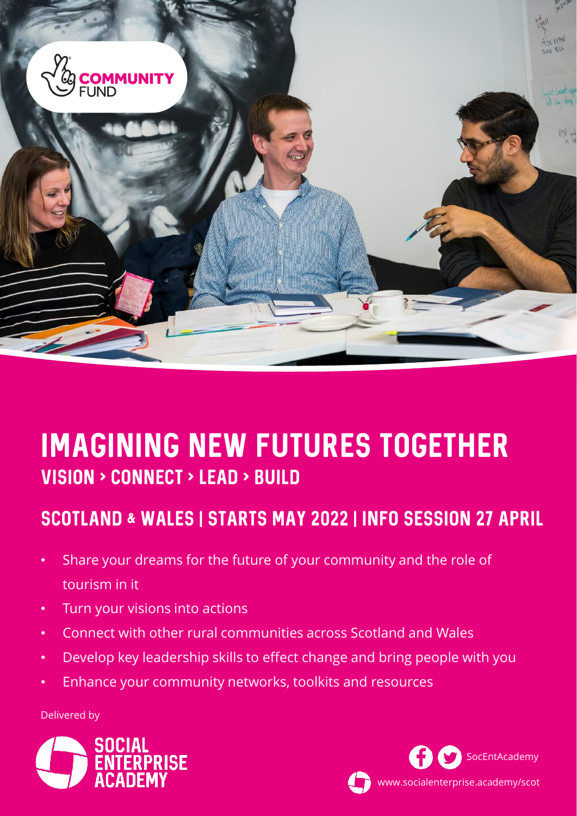

# Imagining New Futures Together VISION > CONNECT > LEAD > BUILD

# Scotland & WALES | starts May 2022 | info session 27 April

- Share your dreams for the future of your community and the role of tourism in it
- Turn your visions into actions
- Connect with other rural communities across Scotland and Wales
- Develop key leadership skills to effect change and bring people with you
- Enhance your community networks, toolkits and resources

Delivered by



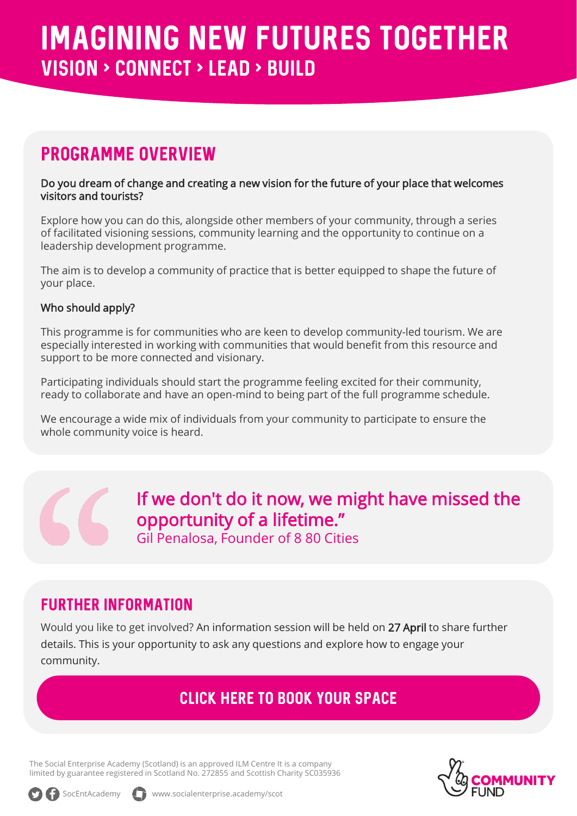# PROGRAMME OVERVIEW

#### Do you dream of change and creating a new vision for the future of your place that welcomes visitors and tourists?

Explore how you can do this, alongside other members of your community, through a series of facilitated visioning sessions, community learning and the opportunity to continue on a leadership development programme.

The aim is to develop a community of practice that is better equipped to shape the future of your place.

#### Who should apply?

This programme is for communities who are keen to develop community-led tourism. We are especially interested in working with communities that would benefit from this resource and support to be more connected and visionary.

Participating individuals should start the programme feeling excited for their community, ready to collaborate and have an open-mind to being part of the full programme schedule.

We encourage a wide mix of individuals from your community to participate to ensure the whole community voice is heard.

> If we don't do it now, we might have missed the opportunity of a lifetime."

Gil Penalosa, Founder of 8 80 Cities

### Further Information

Would you like to get involved? An information session will be held on 27 April to share further details. This is your opportunity to ask any questions and explore how to engage your community.

## [CLICK HERE TO Book your space](https://www.socialenterprise.academy/scot/nlcf-imaging-new-futures-together-2022)

The Social Enterprise Academy (Scotland) is an approved ILM Centre It is a company limited by guarantee registered in Scotland No. 272855 and Scottish Charity SC035936